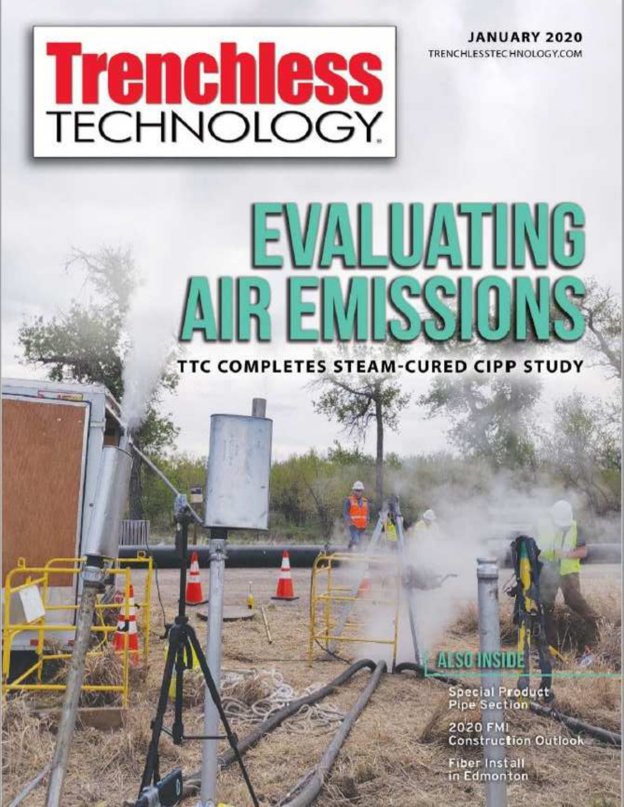**JANUARY 2020** TRENCHLESSTECHNOLOGY.COM

# **Trenchless**

## EVALUATING AIR EMSSIONS **TTC COMPLETES STEAM-CURED CIPP STUDY**

#### SU INSIDE

Special Product<br>Pipe Section

2020 FMI **Construction Outlook** 

**Fiber Install** in Edmonton